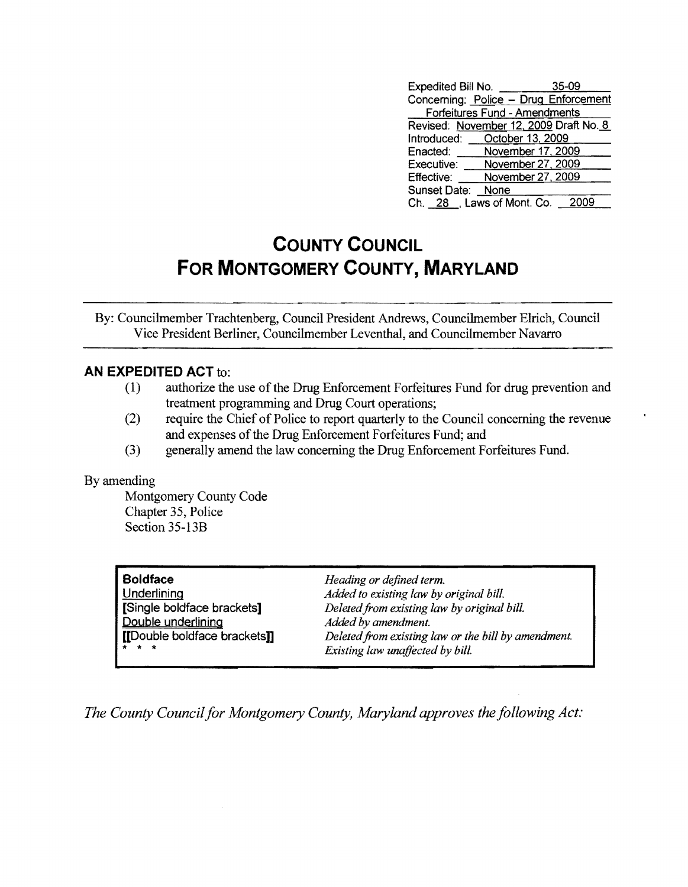| Expedited Bill No.            | $35-09$                                |  |  |  |
|-------------------------------|----------------------------------------|--|--|--|
|                               | Concerning: Police - Drug Enforcement  |  |  |  |
| Forfeitures Fund - Amendments |                                        |  |  |  |
|                               | Revised: November 12, 2009 Draft No. 8 |  |  |  |
|                               | Introduced: October 13, 2009           |  |  |  |
| Enacted:                      | November 17, 2009                      |  |  |  |
| Executive:                    | November 27, 2009                      |  |  |  |
| Effective:                    | November 27, 2009                      |  |  |  |
| Sunset Date:                  | None                                   |  |  |  |
| Ch. 28 J, Laws of Mont. Co.   |                                        |  |  |  |

## **COUNTY COUNCIL FOR MONTGOMERY COUNTY, MARYLAND**

By: Councilmember Trachtenberg, Council President Andrews, Councilmember EIrich, Council Vice President Berliner, Councilmember Leventhal, and Councilmember Navarro

## **AN EXPEDITED ACT** to:

- (1) authorize the use of the Drug Enforcement Forfeitures Fund for drug prevention and treatment programming and Drug Court operations;
- (2) require the Chief of Police to report quarterly to the Council concerning the revenue and expenses of the Drug Enforcement Forfeitures Fund; and
- (3) generally amend the law concerning the Drug Enforcement Forfeitures Fund.

## By amending

Montgomery County Code Chapter 35, Police Section 35-13B

| <b>Boldface</b>              | Heading or defined term.                            |
|------------------------------|-----------------------------------------------------|
| Underlining                  | Added to existing law by original bill.             |
| [Single boldface brackets]   | Deleted from existing law by original bill.         |
| Double underlining           | Added by amendment.                                 |
| [[Double boldface brackets]] | Deleted from existing law or the bill by amendment. |
| * * *                        | Existing law unaffected by bill.                    |

*The County Council for Montgomery County, Maryland approves the following Act:*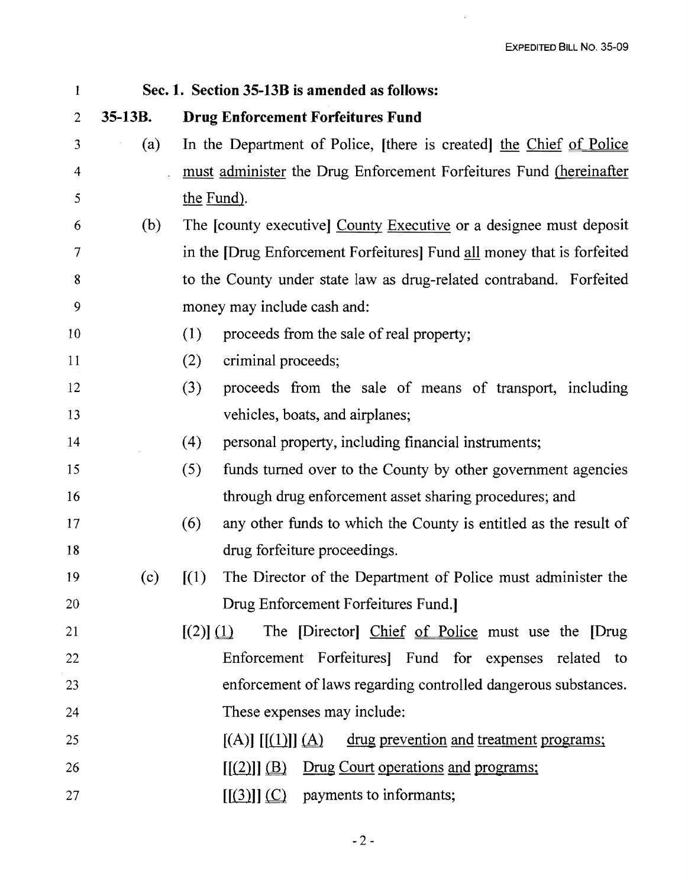$\mathcal{L}_{\mathrm{eff}}$ 

| $\mathbf{1}$   | Sec. 1. Section 35-13B is amended as follows: |                                                                                      |  |  |  |
|----------------|-----------------------------------------------|--------------------------------------------------------------------------------------|--|--|--|
| $\overline{2}$ | $35-13B.$                                     | <b>Drug Enforcement Forfeitures Fund</b>                                             |  |  |  |
| 3              | (a)                                           | In the Department of Police, [there is created] the Chief of Police                  |  |  |  |
| 4              |                                               | must administer the Drug Enforcement Forfeitures Fund (hereinafter                   |  |  |  |
| 5              |                                               | the Fund).                                                                           |  |  |  |
| 6              | (b)                                           | The [county executive] County Executive or a designee must deposit                   |  |  |  |
| 7              |                                               | in the [Drug Enforcement Forfeitures] Fund all money that is forfeited               |  |  |  |
| 8              |                                               | to the County under state law as drug-related contraband. Forfeited                  |  |  |  |
| 9              |                                               | money may include cash and:                                                          |  |  |  |
| 10             |                                               | proceeds from the sale of real property;<br>(1)                                      |  |  |  |
| 11             |                                               | criminal proceeds;<br>(2)                                                            |  |  |  |
| 12             |                                               | (3)<br>proceeds from the sale of means of transport, including                       |  |  |  |
| 13             |                                               | vehicles, boats, and airplanes;                                                      |  |  |  |
| 14             |                                               | (4)<br>personal property, including financial instruments;                           |  |  |  |
| 15             |                                               | (5)<br>funds turned over to the County by other government agencies                  |  |  |  |
| 16             |                                               | through drug enforcement asset sharing procedures; and                               |  |  |  |
| 17             |                                               | (6)<br>any other funds to which the County is entitled as the result of              |  |  |  |
| 18             |                                               | drug forfeiture proceedings.                                                         |  |  |  |
| 19             | (c)                                           | The Director of the Department of Police must administer the<br>$\left[ (1) \right]$ |  |  |  |
| 20             |                                               | Drug Enforcement Forfeitures Fund.                                                   |  |  |  |
| 21             |                                               | The [Director] Chief of Police must use the [Drug<br>$[(2)] \underline{(1)}$         |  |  |  |
| 22             |                                               | Enforcement Forfeitures] Fund for expenses related to                                |  |  |  |
| 23             |                                               | enforcement of laws regarding controlled dangerous substances.                       |  |  |  |
| 24             |                                               | These expenses may include:                                                          |  |  |  |
| 25             |                                               | $[(A)]$ $[(1)]$ $(A)$ drug prevention and treatment programs;                        |  |  |  |
| 26             |                                               | $[(2)]$ $(B)$ Drug Court operations and programs;                                    |  |  |  |
| 27             |                                               | $[(3)]$ $(C)$ payments to informants;                                                |  |  |  |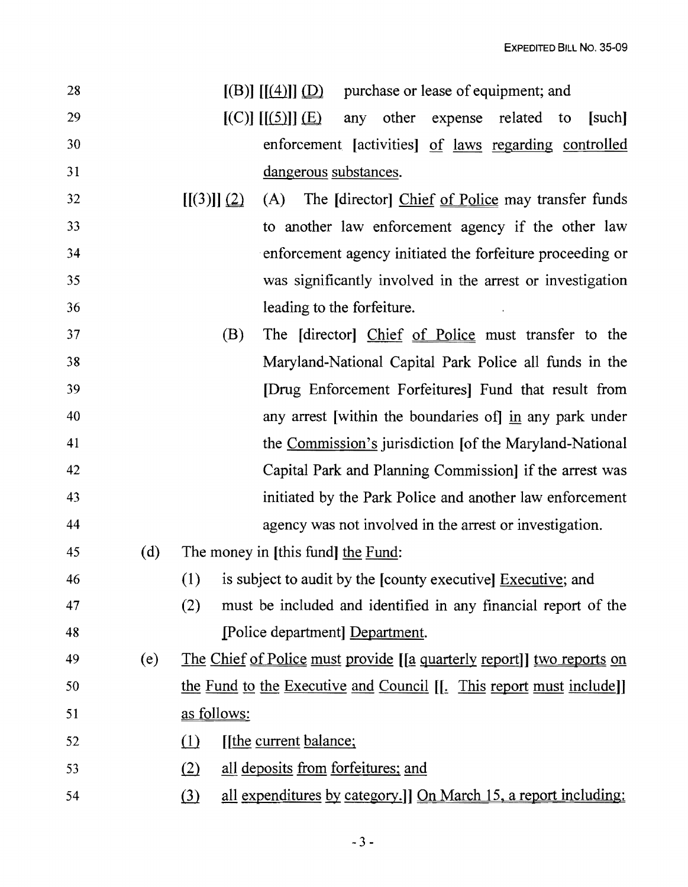| 28 |     | $[(B)]$ $[(4)]$ $(D)$ purchase or lease of equipment; and                                              |
|----|-----|--------------------------------------------------------------------------------------------------------|
| 29 |     | $[(C)]$ $[[(5)]]$ $(\underline{E})$<br>any other<br>expense related to<br>[such]                       |
| 30 |     | enforcement [activities] of laws regarding controlled                                                  |
| 31 |     | dangerous substances.                                                                                  |
| 32 |     | [[(3)]](2)<br>The [director] Chief of Police may transfer funds<br>(A)                                 |
| 33 |     | to another law enforcement agency if the other law                                                     |
| 34 |     | enforcement agency initiated the forfeiture proceeding or                                              |
| 35 |     | was significantly involved in the arrest or investigation                                              |
| 36 |     | leading to the forfeiture.                                                                             |
| 37 |     | The [director] Chief of Police must transfer to the<br>(B)                                             |
| 38 |     | Maryland-National Capital Park Police all funds in the                                                 |
| 39 |     | [Drug Enforcement Forfeitures] Fund that result from                                                   |
| 40 |     | any arrest [within the boundaries of] in any park under                                                |
| 41 |     | the Commission's jurisdiction [of the Maryland-National]                                               |
| 42 |     | Capital Park and Planning Commission] if the arrest was                                                |
| 43 |     | initiated by the Park Police and another law enforcement                                               |
| 44 |     | agency was not involved in the arrest or investigation.                                                |
| 45 | (d) | The money in [this fund] the Fund:                                                                     |
| 46 |     | is subject to audit by the [county executive] Executive; and<br>(1)                                    |
| 47 |     | (2)<br>must be included and identified in any financial report of the                                  |
| 48 |     | [Police department] Department.                                                                        |
| 49 | (e) | The Chief of Police must provide [[a quarterly report]] two reports on                                 |
| 50 |     | the Fund to the Executive and Council [[. This report must include]]                                   |
| 51 |     | as follows:                                                                                            |
| 52 |     | (1)<br>[the current balance;                                                                           |
| 53 |     | all deposits from forfeitures; and<br>(2)                                                              |
| 54 |     | <u>all expenditures by category.] On March 15, a report including:</u><br>$\left( \frac{3}{2} \right)$ |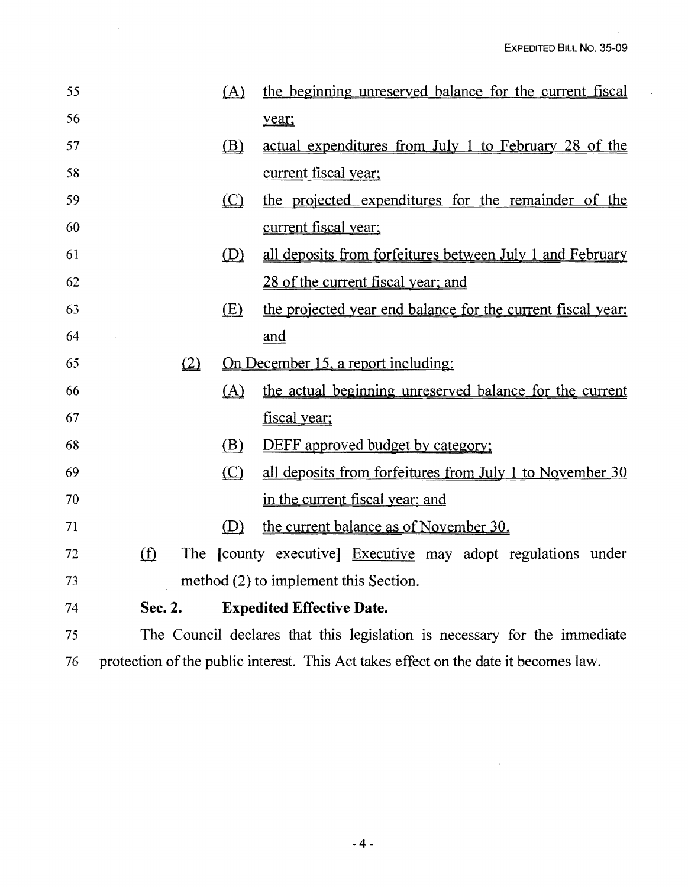$\sim$ 

| 55 |                                                                                      | (A)     | the beginning unreserved balance for the current fiscal                   |
|----|--------------------------------------------------------------------------------------|---------|---------------------------------------------------------------------------|
| 56 |                                                                                      |         | year;                                                                     |
| 57 |                                                                                      | (B)     | actual expenditures from July 1 to February 28 of the                     |
| 58 |                                                                                      |         | <u>current fiscal year;</u>                                               |
| 59 |                                                                                      | $\circ$ | the projected expenditures for the remainder of the                       |
| 60 |                                                                                      |         | current fiscal year;                                                      |
| 61 |                                                                                      | (D)     | all deposits from forfeitures between July 1 and February                 |
| 62 |                                                                                      |         | 28 of the current fiscal year; and                                        |
| 63 |                                                                                      | (E)     | the projected year end balance for the current fiscal year;               |
| 64 |                                                                                      |         | and                                                                       |
| 65 | (2)                                                                                  |         | On December 15, a report including:                                       |
| 66 |                                                                                      | (A)     | the actual beginning unreserved balance for the current                   |
| 67 |                                                                                      |         | fiscal year;                                                              |
| 68 |                                                                                      | (B)     | <b>DEFF</b> approved budget by category;                                  |
| 69 |                                                                                      | $\circ$ | all deposits from forfeitures from July 1 to November 30                  |
| 70 |                                                                                      |         | in the current fiscal year; and                                           |
| 71 |                                                                                      | (D)     | the current balance as of November 30.                                    |
| 72 | (f)                                                                                  |         | The [county executive] Executive may adopt regulations under              |
| 73 |                                                                                      |         | method (2) to implement this Section.                                     |
| 74 | Sec. 2.                                                                              |         | <b>Expedited Effective Date.</b>                                          |
| 75 |                                                                                      |         | The Council declares that this legislation is necessary for the immediate |
| 76 | protection of the public interest. This Act takes effect on the date it becomes law. |         |                                                                           |

 $\ddot{\phantom{a}}$ 

 $\mathcal{L}^{\mathcal{L}}$